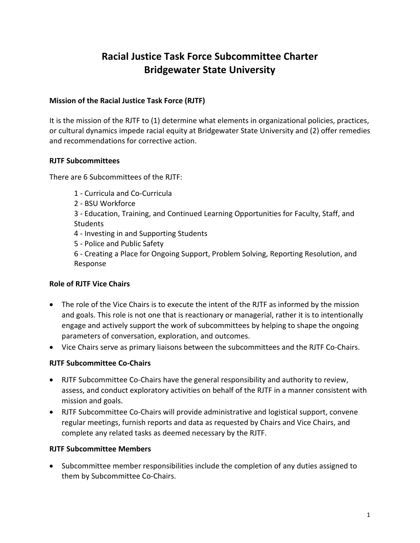# **Racial Justice Task Force Subcommittee Charter Bridgewater State University**

#### **Mission of the Racial Justice Task Force (RJTF)**

It is the mission of the RJTF to (1) determine what elements in organizational policies, practices, or cultural dynamics impede racial equity at Bridgewater State University and (2) offer remedies and recommendations for corrective action.

#### **RJTF Subcommittees**

There are 6 Subcommittees of the RJTF:

- 1 Curricula and Co-Curricula
- 2 BSU Workforce
- 3 Education, Training, and Continued Learning Opportunities for Faculty, Staff, and **Students**
- 4 Investing in and Supporting Students
- 5 Police and Public Safety
- 6 Creating a Place for Ongoing Support, Problem Solving, Reporting Resolution, and Response

#### **Role of RJTF Vice Chairs**

- The role of the Vice Chairs is to execute the intent of the RJTF as informed by the mission and goals. This role is not one that is reactionary or managerial, rather it is to intentionally engage and actively support the work of subcommittees by helping to shape the ongoing parameters of conversation, exploration, and outcomes.
- Vice Chairs serve as primary liaisons between the subcommittees and the RJTF Co-Chairs.

#### **RJTF Subcommittee Co-Chairs**

- RJTF Subcommittee Co-Chairs have the general responsibility and authority to review, assess, and conduct exploratory activities on behalf of the RJTF in a manner consistent with mission and goals.
- RJTF Subcommittee Co-Chairs will provide administrative and logistical support, convene regular meetings, furnish reports and data as requested by Chairs and Vice Chairs, and complete any related tasks as deemed necessary by the RJTF.

#### **RJTF Subcommittee Members**

• Subcommittee member responsibilities include the completion of any duties assigned to them by Subcommittee Co-Chairs.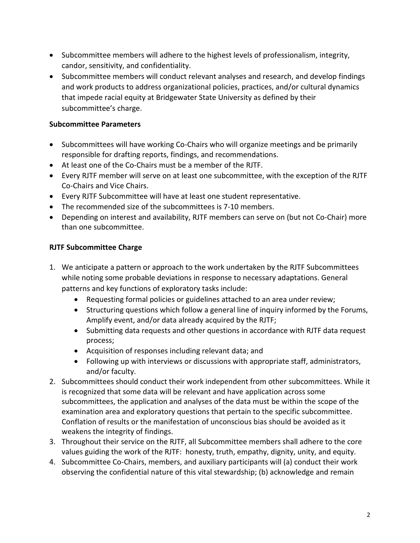- Subcommittee members will adhere to the highest levels of professionalism, integrity, candor, sensitivity, and confidentiality.
- Subcommittee members will conduct relevant analyses and research, and develop findings and work products to address organizational policies, practices, and/or cultural dynamics that impede racial equity at Bridgewater State University as defined by their subcommittee's charge.

### **Subcommittee Parameters**

- Subcommittees will have working Co-Chairs who will organize meetings and be primarily responsible for drafting reports, findings, and recommendations.
- At least one of the Co-Chairs must be a member of the RJTF.
- Every RJTF member will serve on at least one subcommittee, with the exception of the RJTF Co-Chairs and Vice Chairs.
- Every RJTF Subcommittee will have at least one student representative.
- The recommended size of the subcommittees is 7-10 members.
- Depending on interest and availability, RJTF members can serve on (but not Co-Chair) more than one subcommittee.

## **RJTF Subcommittee Charge**

- 1. We anticipate a pattern or approach to the work undertaken by the RJTF Subcommittees while noting some probable deviations in response to necessary adaptations. General patterns and key functions of exploratory tasks include:
	- Requesting formal policies or guidelines attached to an area under review;
	- Structuring questions which follow a general line of inquiry informed by the Forums, Amplify event, and/or data already acquired by the RJTF;
	- Submitting data requests and other questions in accordance with RJTF data request process;
	- Acquisition of responses including relevant data; and
	- Following up with interviews or discussions with appropriate staff, administrators, and/or faculty.
- 2. Subcommittees should conduct their work independent from other subcommittees. While it is recognized that some data will be relevant and have application across some subcommittees, the application and analyses of the data must be within the scope of the examination area and exploratory questions that pertain to the specific subcommittee. Conflation of results or the manifestation of unconscious bias should be avoided as it weakens the integrity of findings.
- 3. Throughout their service on the RJTF, all Subcommittee members shall adhere to the core values guiding the work of the RJTF: honesty, truth, empathy, dignity, unity, and equity.
- 4. Subcommittee Co-Chairs, members, and auxiliary participants will (a) conduct their work observing the confidential nature of this vital stewardship; (b) acknowledge and remain